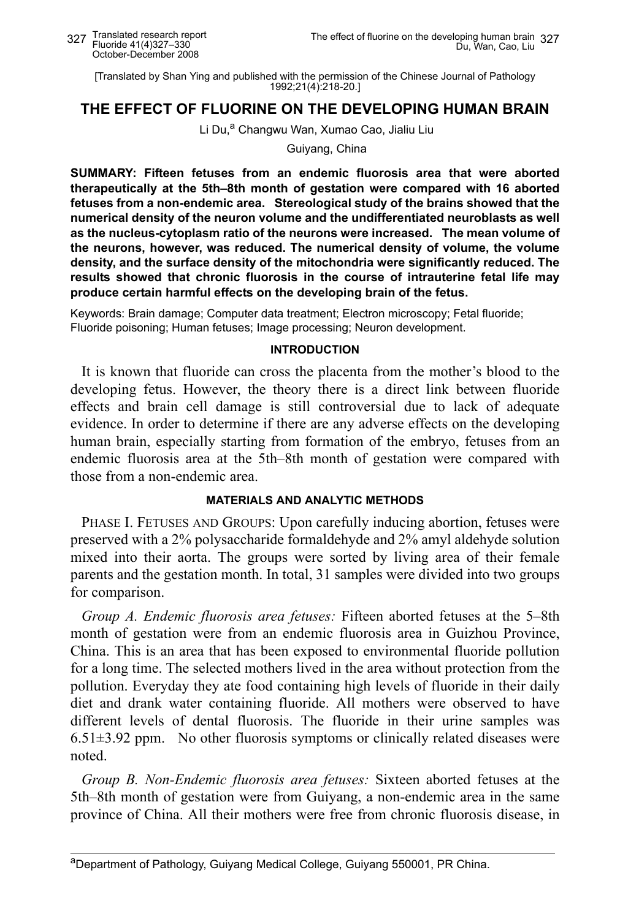[Translated by Shan Ying and published with the permission of the Chinese Journal of Pathology 1992;21(4):218-20.]

# **THE EFFECT OF FLUORINE ON THE DEVELOPING HUMAN BRAIN**

#### Li Du,<sup>a</sup> Changwu Wan, Xumao Cao, Jialiu Liu

Guiyang, China

**SUMMARY: Fifteen fetuses from an endemic fluorosis area that were aborted therapeutically at the 5th–8th month of gestation were compared with 16 aborted fetuses from a non-endemic area. Stereological study of the brains showed that the numerical density of the neuron volume and the undifferentiated neuroblasts as well as the nucleus-cytoplasm ratio of the neurons were increased. The mean volume of the neurons, however, was reduced. The numerical density of volume, the volume density, and the surface density of the mitochondria were significantly reduced. The results showed that chronic fluorosis in the course of intrauterine fetal life may produce certain harmful effects on the developing brain of the fetus.** 

Keywords: Brain damage; Computer data treatment; Electron microscopy; Fetal fluoride; Fluoride poisoning; Human fetuses; Image processing; Neuron development.

#### **INTRODUCTION**

It is known that fluoride can cross the placenta from the mother's blood to the developing fetus. However, the theory there is a direct link between fluoride effects and brain cell damage is still controversial due to lack of adequate evidence. In order to determine if there are any adverse effects on the developing human brain, especially starting from formation of the embryo, fetuses from an endemic fluorosis area at the 5th–8th month of gestation were compared with those from a non-endemic area.

## **MATERIALS AND ANALYTIC METHODS**

PHASE I. FETUSES AND GROUPS: Upon carefully inducing abortion, fetuses were preserved with a 2% polysaccharide formaldehyde and 2% amyl aldehyde solution mixed into their aorta. The groups were sorted by living area of their female parents and the gestation month. In total, 31 samples were divided into two groups for comparison.

*Group A. Endemic fluorosis area fetuses:* Fifteen aborted fetuses at the 5–8th month of gestation were from an endemic fluorosis area in Guizhou Province, China. This is an area that has been exposed to environmental fluoride pollution for a long time. The selected mothers lived in the area without protection from the pollution. Everyday they ate food containing high levels of fluoride in their daily diet and drank water containing fluoride. All mothers were observed to have different levels of dental fluorosis. The fluoride in their urine samples was  $6.51\pm3.92$  ppm. No other fluorosis symptoms or clinically related diseases were noted.

*Group B. Non-Endemic fluorosis area fetuses:* Sixteen aborted fetuses at the 5th–8th month of gestation were from Guiyang, a non-endemic area in the same province of China. All their mothers were free from chronic fluorosis disease, in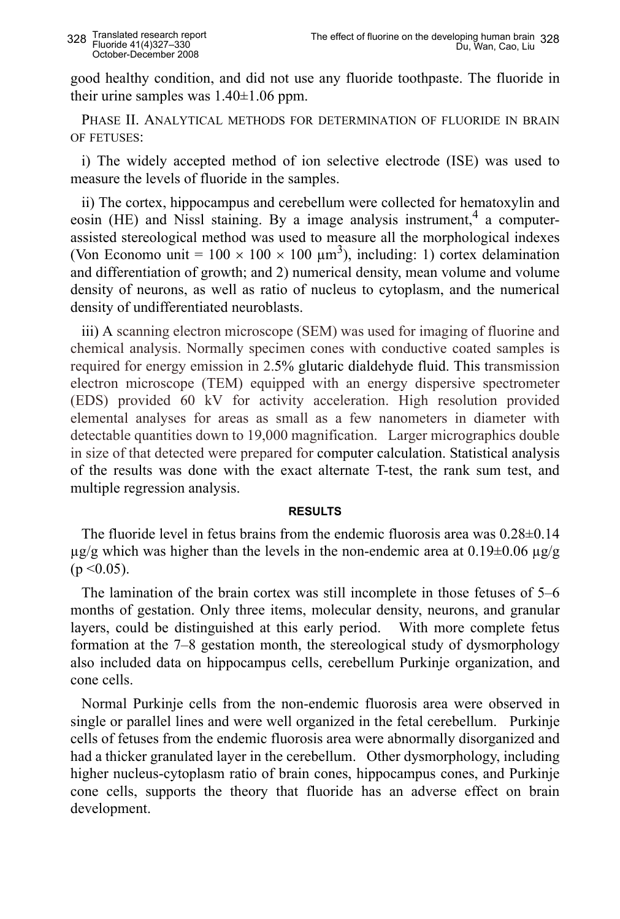good healthy condition, and did not use any fluoride toothpaste. The fluoride in their urine samples was  $1.40\pm1.06$  ppm.

PHASE II. ANALYTICAL METHODS FOR DETERMINATION OF FLUORIDE IN BRAIN OF FETUSES:

i) The widely accepted method of ion selective electrode (ISE) was used to measure the levels of fluoride in the samples.

ii) The cortex, hippocampus and cerebellum were collected for hematoxylin and eosin (HE) and Nissl staining. By a image analysis instrument,<sup>4</sup> a computerassisted stereological method was used to measure all the morphological indexes (Von Economo unit =  $100 \times 100 \times 100 \mu m^3$ ), including: 1) cortex delamination and differentiation of growth; and 2) numerical density, mean volume and volume density of neurons, as well as ratio of nucleus to cytoplasm, and the numerical density of undifferentiated neuroblasts.

iii) A scanning electron microscope (SEM) was used for imaging of fluorine and chemical analysis. Normally specimen cones with conductive coated samples is required for energy emission in 2.5% glutaric dialdehyde fluid. This transmission electron microscope (TEM) equipped with an energy dispersive spectrometer (EDS) provided 60 kV for activity acceleration. High resolution provided elemental analyses for areas as small as a few nanometers in diameter with detectable quantities down to 19,000 magnification. Larger micrographics double in size of that detected were prepared for computer calculation. Statistical analysis of the results was done with the exact alternate T-test, the rank sum test, and multiple regression analysis.

## **RESULTS**

The fluoride level in fetus brains from the endemic fluorosis area was 0.28±0.14  $\mu$ g/g which was higher than the levels in the non-endemic area at 0.19 $\pm$ 0.06  $\mu$ g/g  $(p \le 0.05)$ .

The lamination of the brain cortex was still incomplete in those fetuses of 5–6 months of gestation. Only three items, molecular density, neurons, and granular layers, could be distinguished at this early period. With more complete fetus formation at the 7–8 gestation month, the stereological study of dysmorphology also included data on hippocampus cells, cerebellum Purkinje organization, and cone cells.

Normal Purkinje cells from the non-endemic fluorosis area were observed in single or parallel lines and were well organized in the fetal cerebellum. Purkinje cells of fetuses from the endemic fluorosis area were abnormally disorganized and had a thicker granulated layer in the cerebellum. Other dysmorphology, including higher nucleus-cytoplasm ratio of brain cones, hippocampus cones, and Purkinje cone cells, supports the theory that fluoride has an adverse effect on brain development.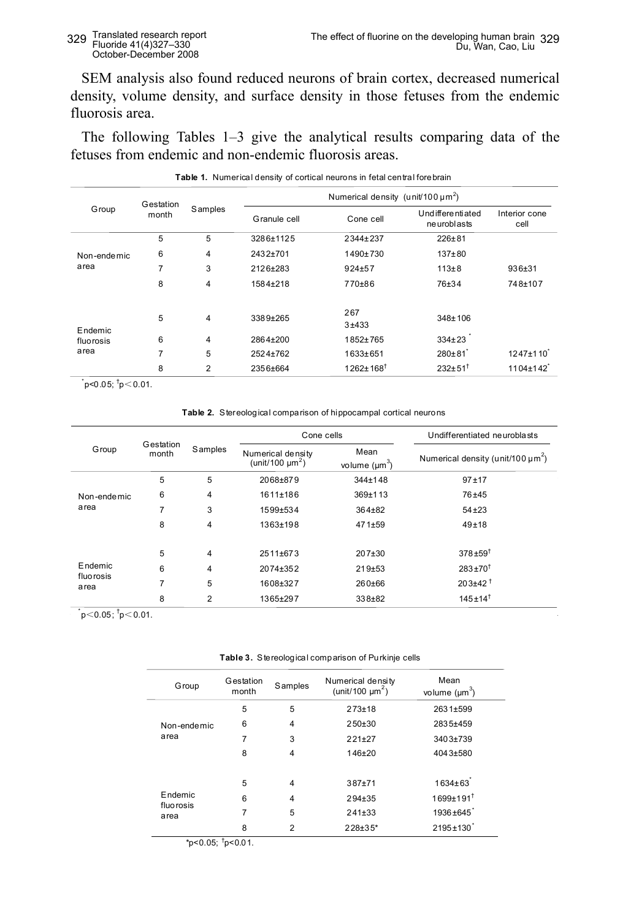## Translated research report Fluoride 41(4)327–330 October-December 2008

SEM analysis also found reduced neurons of brain cortex, decreased numerical density, volume density, and surface density in those fetuses from the endemic fluorosis area.

The following Tables 1–3 give the analytical results comparing data of the fetuses from endemic and non-endemic fluorosis areas.

| <b>Group</b>                 | Gestation<br>month | Samples        | Numerical density (unit/100 $\mu$ m <sup>2</sup> ) |                             |                                    |                       |  |
|------------------------------|--------------------|----------------|----------------------------------------------------|-----------------------------|------------------------------------|-----------------------|--|
|                              |                    |                | Granule cell                                       | Cone cell                   | Und ifferenti ated<br>ne uroblasts | Interior cone<br>cell |  |
| Non-endemic<br>area          | 5                  | 5              | 3286±1125                                          | 2344+237                    | $226 + 81$                         |                       |  |
|                              | 6                  | 4              | 2432+701                                           | 1490±730                    | $137 + 80$                         |                       |  |
|                              | 7                  | 3              | 2126+283                                           | $924 + 57$                  | $113 + 8$                          | $936 + 31$            |  |
|                              | 8                  | 4              | 1584±218                                           | 770±86                      | 76±34                              | 748±107               |  |
| Endemic<br>fluorosis<br>area | 5                  | 4              | 3389±265                                           | 267<br>$3 + 433$            | 348±106                            |                       |  |
|                              | 6                  | 4              | 2864±200                                           | 1852±765                    | $334 \pm 23$                       |                       |  |
|                              | $\overline{7}$     | 5              | 2524±762                                           | 1633±651                    | $280 \pm 81$                       | $1247 \pm 110$        |  |
|                              | 8                  | $\overline{2}$ | 2356±664                                           | $1262 \pm 168$ <sup>†</sup> | $232+51$ <sup>t</sup>              | $1104 \pm 142$        |  |

|  | Table 1. Numerical density of cortical neurons in fetal central fore brain |  |  |
|--|----------------------------------------------------------------------------|--|--|
|  |                                                                            |  |  |

 $p$ <0.05;  $\frac{1}{p}$ <0.01.

**Table 2.** Stereological comparison of hippocampal cortical neurons **Table 2.** Stereological comparison of hippocampal cortical neurons

| Group                        | Gestation<br>month | Samples | Cone cells                                            |                            | Undifferentiated neuroblasts                       |  |
|------------------------------|--------------------|---------|-------------------------------------------------------|----------------------------|----------------------------------------------------|--|
|                              |                    |         | Numerical density<br>(unit/100 $\mu$ m <sup>2</sup> ) | Mean<br>volume $(\mu m^3)$ | Numerical density (unit/100 $\mu$ m <sup>2</sup> ) |  |
| Non-endemic<br>area          | 5                  | 5       | 2068±879                                              | 344±148                    | $97 + 17$                                          |  |
|                              | 6                  | 4       | 1611±186<br>369±113                                   |                            | 76±45                                              |  |
|                              | 7                  | 3       | 1599±534                                              | $364 + 82$                 | $54 + 23$                                          |  |
|                              | 8                  | 4       | 1363±198                                              | $471 + 59$                 | $49 + 18$                                          |  |
| Endemic<br>fluorosis<br>area | 5                  | 4       | $2511+673$                                            | 207±30                     | $378 + 59$ <sup>t</sup>                            |  |
|                              | 6                  | 4       | 2074±352                                              | 219±53                     | $283 + 70^{1}$                                     |  |
|                              | 7                  | 5       | 1608±327                                              | 260±66                     | $203+42^{\dagger}$                                 |  |
|                              | 8                  | 2       | 1365±297                                              | 338±82                     | $145 \pm 14$ <sup>†</sup>                          |  |

 $\text{p}<0.05$ ;  $\text{p}<0.01$ .

 **Table 3.** Stereological comparison of Purkinje cells

| Group                | Gestation<br>month | Samples        | Numerical density<br>(unit/100 $\mu$ m <sup>2</sup> ) | Mean<br>volume $(\mu m^3)$  |
|----------------------|--------------------|----------------|-------------------------------------------------------|-----------------------------|
|                      | 5                  | 5              | $273 + 18$                                            | $2631 + 599$                |
| Non-endemic          | 6                  | 4              | $250+30$                                              | 2835+459                    |
| area                 | 7                  | 3              | $221+27$                                              | $3403 + 739$                |
|                      | 8                  | $\overline{4}$ | $146 + 20$                                            | 4043±580                    |
|                      |                    |                |                                                       |                             |
|                      | 5                  | $\overline{4}$ | $387 + 71$                                            | $1634 + 63$                 |
| Endemic<br>fluorosis | 6                  | $\overline{4}$ | $294 + 35$                                            | $1699+191$ <sup>t</sup>     |
| area                 | 7                  | 5              | $241 + 33$                                            | 1936±645 <sup>*</sup>       |
|                      | 8                  | 2              | 228±35*                                               | $2195 \pm 130$ <sup>*</sup> |

 $*$ p<0.05;  $*$ p<0.01.